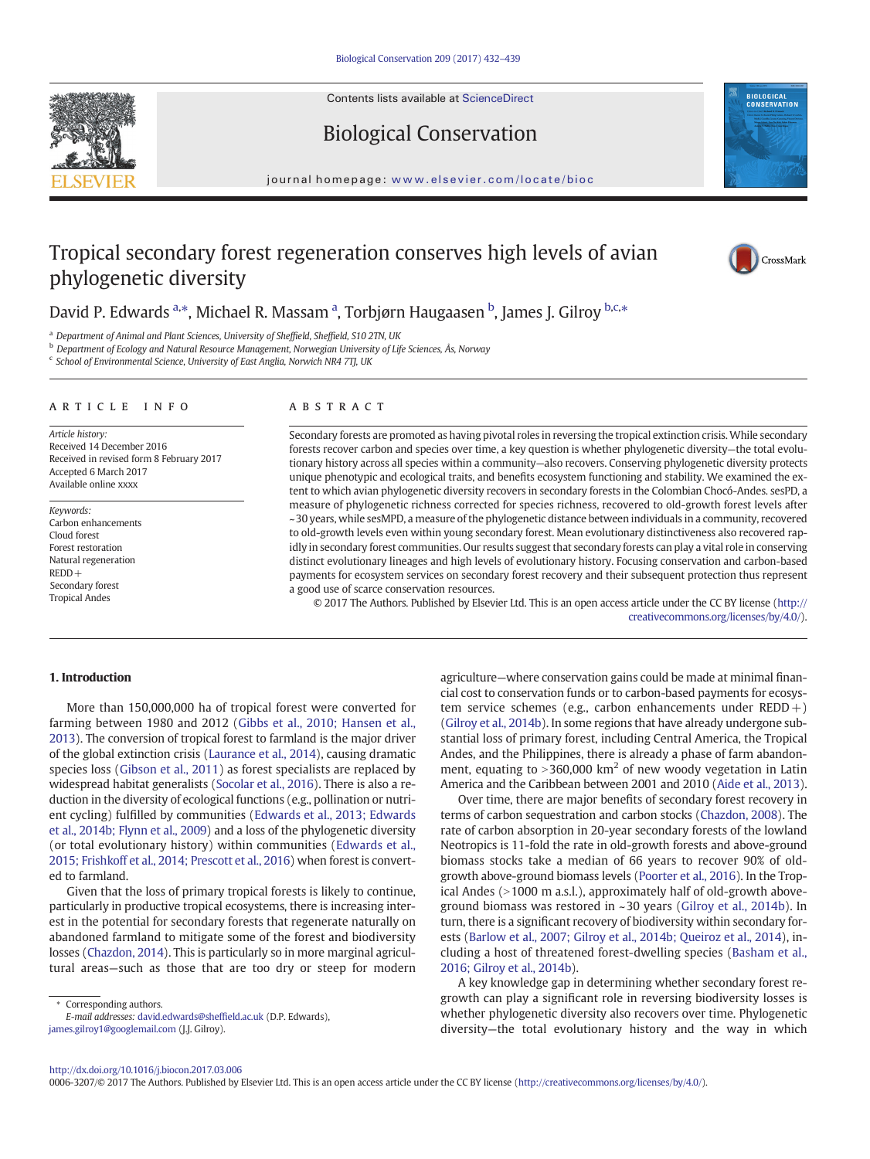Contents lists available at ScienceDirect

# Biological Conservation

journal homepage: <www.elsevier.com/locate/bioc>

## Tropical secondary forest regeneration conserves high levels of avian phylogenetic diversity

David P. Edwards <sup>a,\*</sup>, Michael R. Massam <sup>a</sup>, Torbjørn Haugaasen <sup>b</sup>, James J. Gilroy <sup>b,c,\*</sup>

<sup>a</sup> Department of Animal and Plant Sciences, University of Sheffield, Sheffield, S10 2TN, UK

**b** Department of Ecology and Natural Resource Management, Norwegian University of Life Sciences, Ås, Norway

<sup>c</sup> School of Environmental Science, University of East Anglia, Norwich NR4 7TJ, UK

#### article info abstract

Article history: Received 14 December 2016 Received in revised form 8 February 2017 Accepted 6 March 2017 Available online xxxx

Keywords: Carbon enhancements Cloud forest Forest restoration Natural regeneration REDD+ Secondary forest Tropical Andes

Secondary forests are promoted as having pivotal roles in reversing the tropical extinction crisis. While secondary forests recover carbon and species over time, a key question is whether phylogenetic diversity—the total evolutionary history across all species within a community—also recovers. Conserving phylogenetic diversity protects unique phenotypic and ecological traits, and benefits ecosystem functioning and stability. We examined the extent to which avian phylogenetic diversity recovers in secondary forests in the Colombian Chocó-Andes. sesPD, a measure of phylogenetic richness corrected for species richness, recovered to old-growth forest levels after ~30 years, while sesMPD, a measure of the phylogenetic distance between individuals in a community, recovered to old-growth levels even within young secondary forest. Mean evolutionary distinctiveness also recovered rapidly in secondary forest communities. Our results suggest that secondary forests can play a vital role in conserving distinct evolutionary lineages and high levels of evolutionary history. Focusing conservation and carbon-based payments for ecosystem services on secondary forest recovery and their subsequent protection thus represent a good use of scarce conservation resources.

© 2017 The Authors. Published by Elsevier Ltd. This is an open access article under the CC BY license [\(http://](0opyright_ulicense) [creativecommons.org/licenses/by/4.0/](0opyright_ulicense)).

#### 1. Introduction

More than 150,000,000 ha of tropical forest were converted for farming between 1980 and 2012 [\(Gibbs et al., 2010; Hansen et al.,](#page-6-0) [2013\)](#page-6-0). The conversion of tropical forest to farmland is the major driver of the global extinction crisis ([Laurance et al., 2014](#page-6-0)), causing dramatic species loss ([Gibson et al., 2011\)](#page-6-0) as forest specialists are replaced by widespread habitat generalists [\(Socolar et al., 2016\)](#page-6-0). There is also a reduction in the diversity of ecological functions (e.g., pollination or nutrient cycling) fulfilled by communities [\(Edwards et al., 2013; Edwards](#page-6-0) [et al., 2014b; Flynn et al., 2009](#page-6-0)) and a loss of the phylogenetic diversity (or total evolutionary history) within communities [\(Edwards et al.,](#page-6-0) [2015; Frishkoff et al., 2014; Prescott et al., 2016\)](#page-6-0) when forest is converted to farmland.

Given that the loss of primary tropical forests is likely to continue, particularly in productive tropical ecosystems, there is increasing interest in the potential for secondary forests that regenerate naturally on abandoned farmland to mitigate some of the forest and biodiversity losses ([Chazdon, 2014\)](#page-6-0). This is particularly so in more marginal agricultural areas—such as those that are too dry or steep for modern

⁎ Corresponding authors.

E-mail addresses: david.edwards@sheffield.ac.uk (D.P. Edwards),

[james.gilroy1@googlemail.com](mailto:james.gilroy1@googlemail.com) (J.J. Gilroy).

0006-3207/© 2017 The Authors. Published by Elsevier Ltd. This is an open access article under the CC BY license ([http://creativecommons.org/licenses/by/4.0/\)](0opyright_ulicense).



terms of carbon sequestration and carbon stocks ([Chazdon, 2008](#page-6-0)). The rate of carbon absorption in 20-year secondary forests of the lowland Neotropics is 11-fold the rate in old-growth forests and above-ground biomass stocks take a median of 66 years to recover 90% of oldgrowth above-ground biomass levels ([Poorter et al., 2016\)](#page-6-0). In the Tropical Andes  $(>1000 \text{ m a.s.}!)$ , approximately half of old-growth aboveground biomass was restored in ~30 years ([Gilroy et al., 2014b](#page-6-0)). In turn, there is a significant recovery of biodiversity within secondary forests [\(Barlow et al., 2007; Gilroy et al., 2014b; Queiroz et al., 2014](#page-6-0)), including a host of threatened forest-dwelling species [\(Basham et al.,](#page-6-0) [2016; Gilroy et al., 2014b](#page-6-0)).

A key knowledge gap in determining whether secondary forest regrowth can play a significant role in reversing biodiversity losses is whether phylogenetic diversity also recovers over time. Phylogenetic diversity—the total evolutionary history and the way in which





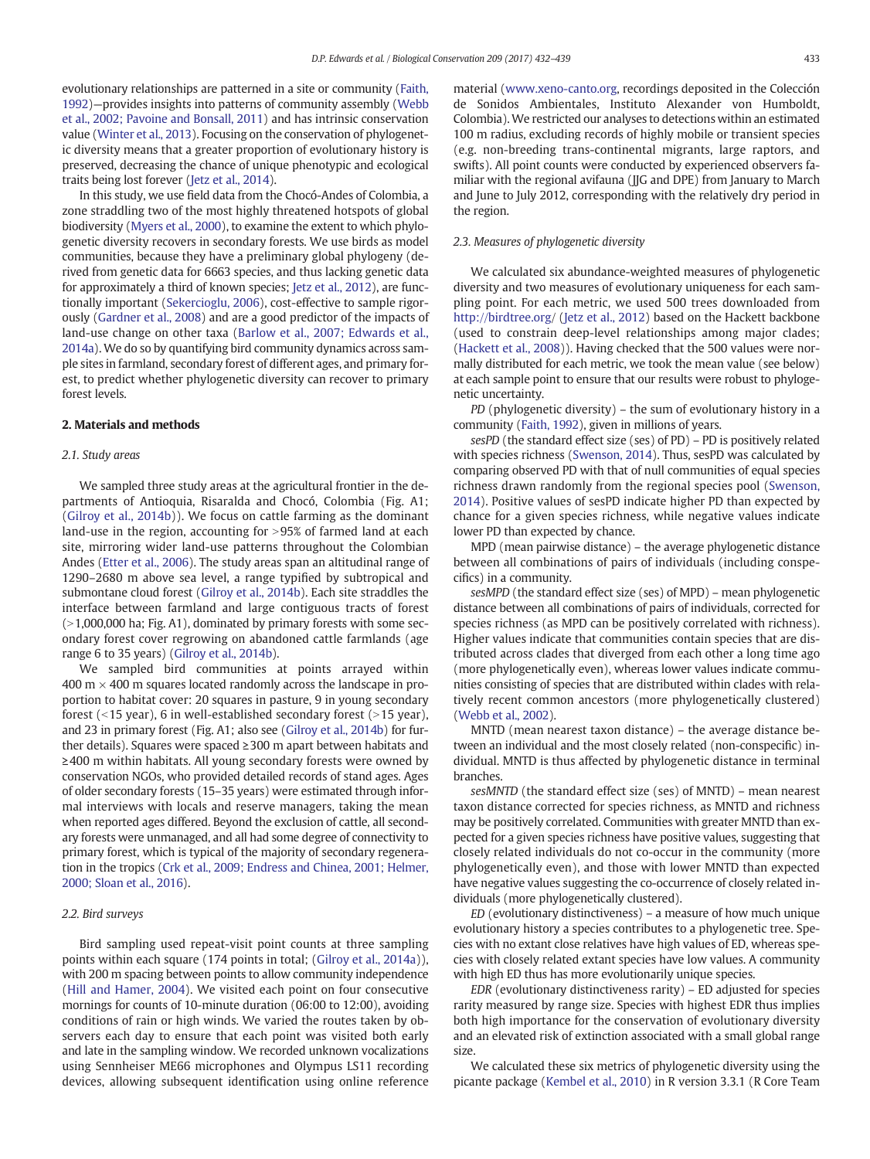evolutionary relationships are patterned in a site or community [\(Faith,](#page-6-0) [1992](#page-6-0))—provides insights into patterns of community assembly [\(Webb](#page-7-0) [et al., 2002; Pavoine and Bonsall, 2011](#page-7-0)) and has intrinsic conservation value ([Winter et al., 2013](#page-7-0)). Focusing on the conservation of phylogenetic diversity means that a greater proportion of evolutionary history is preserved, decreasing the chance of unique phenotypic and ecological traits being lost forever ([Jetz et al., 2014](#page-6-0)).

In this study, we use field data from the Chocó-Andes of Colombia, a zone straddling two of the most highly threatened hotspots of global biodiversity ([Myers et al., 2000](#page-6-0)), to examine the extent to which phylogenetic diversity recovers in secondary forests. We use birds as model communities, because they have a preliminary global phylogeny (derived from genetic data for 6663 species, and thus lacking genetic data for approximately a third of known species; [Jetz et al., 2012](#page-6-0)), are functionally important [\(Sekercioglu, 2006\)](#page-6-0), cost-effective to sample rigorously [\(Gardner et al., 2008\)](#page-6-0) and are a good predictor of the impacts of land-use change on other taxa ([Barlow et al., 2007; Edwards et al.,](#page-6-0) [2014a](#page-6-0)). We do so by quantifying bird community dynamics across sample sites in farmland, secondary forest of different ages, and primary forest, to predict whether phylogenetic diversity can recover to primary forest levels.

#### 2. Materials and methods

#### 2.1. Study areas

We sampled three study areas at the agricultural frontier in the departments of Antioquia, Risaralda and Chocó, Colombia (Fig. A1; [\(Gilroy et al., 2014b](#page-6-0))). We focus on cattle farming as the dominant land-use in the region, accounting for  $>95%$  of farmed land at each site, mirroring wider land-use patterns throughout the Colombian Andes [\(Etter et al., 2006](#page-6-0)). The study areas span an altitudinal range of 1290–2680 m above sea level, a range typified by subtropical and submontane cloud forest ([Gilroy et al., 2014b\)](#page-6-0). Each site straddles the interface between farmland and large contiguous tracts of forest  $(>1,000,000$  ha; Fig. A1), dominated by primary forests with some secondary forest cover regrowing on abandoned cattle farmlands (age range 6 to 35 years) [\(Gilroy et al., 2014b](#page-6-0)).

We sampled bird communities at points arrayed within  $400 \text{ m} \times 400 \text{ m}$  squares located randomly across the landscape in proportion to habitat cover: 20 squares in pasture, 9 in young secondary forest  $($  < 15 year), 6 in well-established secondary forest  $($  > 15 year), and 23 in primary forest (Fig. A1; also see ([Gilroy et al., 2014b\)](#page-6-0) for further details). Squares were spaced ≥300 m apart between habitats and ≥400 m within habitats. All young secondary forests were owned by conservation NGOs, who provided detailed records of stand ages. Ages of older secondary forests (15–35 years) were estimated through informal interviews with locals and reserve managers, taking the mean when reported ages differed. Beyond the exclusion of cattle, all secondary forests were unmanaged, and all had some degree of connectivity to primary forest, which is typical of the majority of secondary regeneration in the tropics [\(Crk et al., 2009; Endress and Chinea, 2001; Helmer,](#page-6-0) [2000; Sloan et al., 2016](#page-6-0)).

#### 2.2. Bird surveys

Bird sampling used repeat-visit point counts at three sampling points within each square (174 points in total; ([Gilroy et al., 2014a\)](#page-6-0)), with 200 m spacing between points to allow community independence [\(Hill and Hamer, 2004\)](#page-6-0). We visited each point on four consecutive mornings for counts of 10-minute duration (06:00 to 12:00), avoiding conditions of rain or high winds. We varied the routes taken by observers each day to ensure that each point was visited both early and late in the sampling window. We recorded unknown vocalizations using Sennheiser ME66 microphones and Olympus LS11 recording devices, allowing subsequent identification using online reference material [\(www.xeno-canto.org](http://www.xeno-canto.org), recordings deposited in the Colección de Sonidos Ambientales, Instituto Alexander von Humboldt, Colombia). We restricted our analyses to detections within an estimated 100 m radius, excluding records of highly mobile or transient species (e.g. non-breeding trans-continental migrants, large raptors, and swifts). All point counts were conducted by experienced observers familiar with the regional avifauna (JJG and DPE) from January to March and June to July 2012, corresponding with the relatively dry period in the region.

#### 2.3. Measures of phylogenetic diversity

We calculated six abundance-weighted measures of phylogenetic diversity and two measures of evolutionary uniqueness for each sampling point. For each metric, we used 500 trees downloaded from [http://birdtree.org/](http://birdtree.org) [\(Jetz et al., 2012\)](#page-6-0) based on the Hackett backbone (used to constrain deep-level relationships among major clades; [\(Hackett et al., 2008\)](#page-6-0)). Having checked that the 500 values were normally distributed for each metric, we took the mean value (see below) at each sample point to ensure that our results were robust to phylogenetic uncertainty.

PD (phylogenetic diversity) – the sum of evolutionary history in a community [\(Faith, 1992](#page-6-0)), given in millions of years.

sesPD (the standard effect size (ses) of PD) – PD is positively related with species richness [\(Swenson, 2014](#page-7-0)). Thus, sesPD was calculated by comparing observed PD with that of null communities of equal species richness drawn randomly from the regional species pool ([Swenson,](#page-7-0) [2014\)](#page-7-0). Positive values of sesPD indicate higher PD than expected by chance for a given species richness, while negative values indicate lower PD than expected by chance.

MPD (mean pairwise distance) – the average phylogenetic distance between all combinations of pairs of individuals (including conspecifics) in a community.

sesMPD (the standard effect size (ses) of MPD) – mean phylogenetic distance between all combinations of pairs of individuals, corrected for species richness (as MPD can be positively correlated with richness). Higher values indicate that communities contain species that are distributed across clades that diverged from each other a long time ago (more phylogenetically even), whereas lower values indicate communities consisting of species that are distributed within clades with relatively recent common ancestors (more phylogenetically clustered) [\(Webb et al., 2002\)](#page-7-0).

MNTD (mean nearest taxon distance) – the average distance between an individual and the most closely related (non-conspecific) individual. MNTD is thus affected by phylogenetic distance in terminal branches.

sesMNTD (the standard effect size (ses) of MNTD) – mean nearest taxon distance corrected for species richness, as MNTD and richness may be positively correlated. Communities with greater MNTD than expected for a given species richness have positive values, suggesting that closely related individuals do not co-occur in the community (more phylogenetically even), and those with lower MNTD than expected have negative values suggesting the co-occurrence of closely related individuals (more phylogenetically clustered).

ED (evolutionary distinctiveness) – a measure of how much unique evolutionary history a species contributes to a phylogenetic tree. Species with no extant close relatives have high values of ED, whereas species with closely related extant species have low values. A community with high ED thus has more evolutionarily unique species.

EDR (evolutionary distinctiveness rarity) – ED adjusted for species rarity measured by range size. Species with highest EDR thus implies both high importance for the conservation of evolutionary diversity and an elevated risk of extinction associated with a small global range size.

We calculated these six metrics of phylogenetic diversity using the picante package ([Kembel et al., 2010\)](#page-6-0) in R version 3.3.1 (R Core Team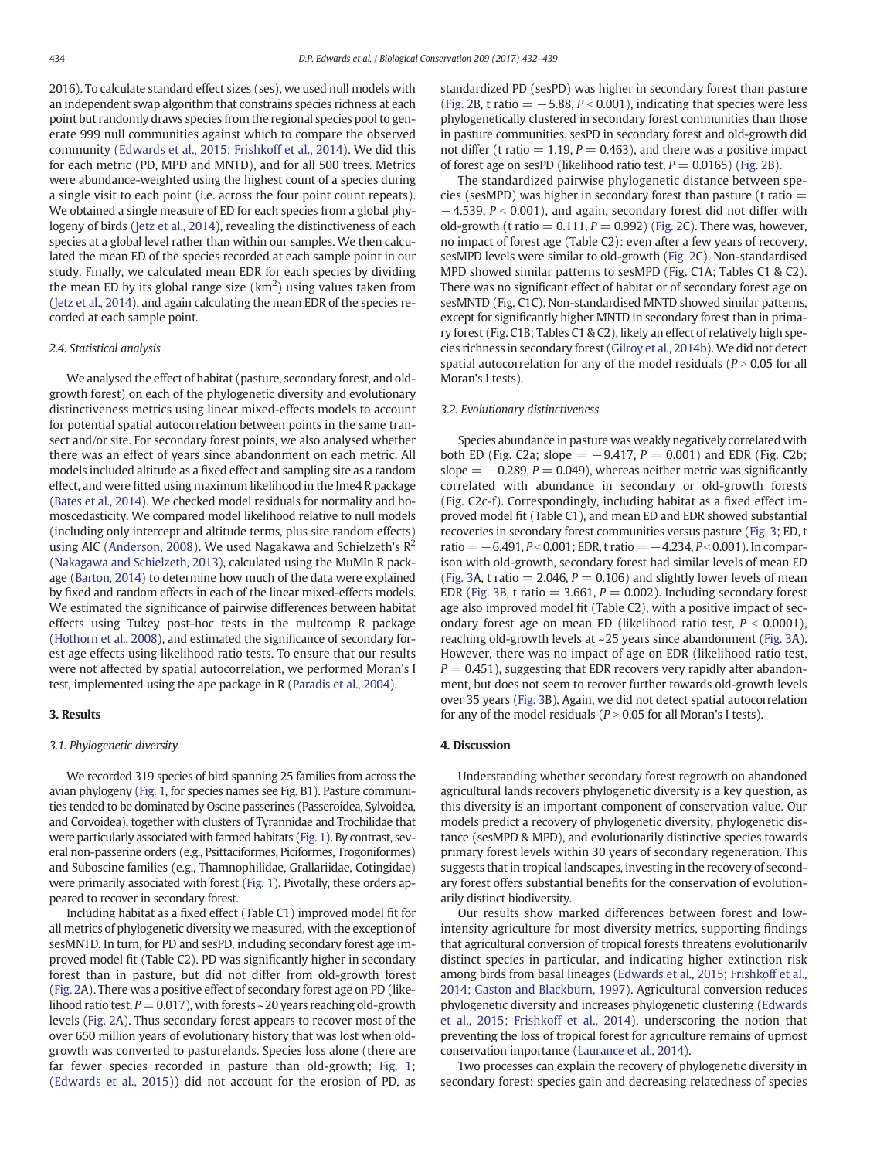2016). To calculate standard effect sizes (ses), we used null models with an independent swap algorithm that constrains species richness at each point but randomly draws species from the regional species pool to generate 999 null communities against which to compare the observed community ([Edwards et al., 2015; Frishkoff et al., 2014\)](#page-6-0). We did this for each metric (PD, MPD and MNTD), and for all 500 trees. Metrics were abundance-weighted using the highest count of a species during a single visit to each point (i.e. across the four point count repeats). We obtained a single measure of ED for each species from a global phylogeny of birds ([Jetz et al., 2014](#page-6-0)), revealing the distinctiveness of each species at a global level rather than within our samples. We then calculated the mean ED of the species recorded at each sample point in our study. Finally, we calculated mean EDR for each species by dividing the mean ED by its global range size  $(km^2)$  using values taken from [\(Jetz et al., 2014](#page-6-0)), and again calculating the mean EDR of the species recorded at each sample point.

#### 2.4. Statistical analysis

We analysed the effect of habitat (pasture, secondary forest, and oldgrowth forest) on each of the phylogenetic diversity and evolutionary distinctiveness metrics using linear mixed-effects models to account for potential spatial autocorrelation between points in the same transect and/or site. For secondary forest points, we also analysed whether there was an effect of years since abandonment on each metric. All models included altitude as a fixed effect and sampling site as a random effect, and were fitted using maximum likelihood in the lme4 R package [\(Bates et al., 2014\)](#page-6-0). We checked model residuals for normality and homoscedasticity. We compared model likelihood relative to null models (including only intercept and altitude terms, plus site random effects) using AIC [\(Anderson, 2008](#page-6-0)). We used Nagakawa and Schielzeth's  $R^2$ [\(Nakagawa and Schielzeth, 2013\)](#page-6-0), calculated using the MuMIn R package [\(Barton, 2014\)](#page-6-0) to determine how much of the data were explained by fixed and random effects in each of the linear mixed-effects models. We estimated the significance of pairwise differences between habitat effects using Tukey post-hoc tests in the multcomp R package [\(Hothorn et al., 2008\)](#page-6-0), and estimated the significance of secondary forest age effects using likelihood ratio tests. To ensure that our results were not affected by spatial autocorrelation, we performed Moran's I test, implemented using the ape package in R [\(Paradis et al., 2004\)](#page-6-0).

#### 3. Results

#### 3.1. Phylogenetic diversity

We recorded 319 species of bird spanning 25 families from across the avian phylogeny [\(Fig. 1](#page-3-0), for species names see Fig. B1). Pasture communities tended to be dominated by Oscine passerines (Passeroidea, Sylvoidea, and Corvoidea), together with clusters of Tyrannidae and Trochilidae that were particularly associated with farmed habitats ([Fig. 1\)](#page-3-0). By contrast, several non-passerine orders (e.g., Psittaciformes, Piciformes, Trogoniformes) and Suboscine families (e.g., Thamnophilidae, Grallariidae, Cotingidae) were primarily associated with forest [\(Fig. 1](#page-3-0)). Pivotally, these orders appeared to recover in secondary forest.

Including habitat as a fixed effect (Table C1) improved model fit for all metrics of phylogenetic diversity we measured, with the exception of sesMNTD. In turn, for PD and sesPD, including secondary forest age improved model fit (Table C2). PD was significantly higher in secondary forest than in pasture, but did not differ from old-growth forest [\(Fig. 2](#page-4-0)A). There was a positive effect of secondary forest age on PD (likelihood ratio test,  $P = 0.017$ ), with forests ~20 years reaching old-growth levels [\(Fig. 2](#page-4-0)A). Thus secondary forest appears to recover most of the over 650 million years of evolutionary history that was lost when oldgrowth was converted to pasturelands. Species loss alone (there are far fewer species recorded in pasture than old-growth; [Fig. 1](#page-3-0); [\(Edwards et al., 2015\)](#page-6-0)) did not account for the erosion of PD, as

standardized PD (sesPD) was higher in secondary forest than pasture [\(Fig. 2](#page-4-0)B, t ratio  $= -5.88$ ,  $P < 0.001$ ), indicating that species were less phylogenetically clustered in secondary forest communities than those in pasture communities. sesPD in secondary forest and old-growth did not differ (t ratio  $= 1.19$ ,  $P = 0.463$ ), and there was a positive impact of forest age on sesPD (likelihood ratio test,  $P = 0.0165$ ) [\(Fig. 2B](#page-4-0)).

The standardized pairwise phylogenetic distance between species (sesMPD) was higher in secondary forest than pasture (t ratio  $=$  $-4.539$ ,  $P < 0.001$ ), and again, secondary forest did not differ with old-growth (t ratio =  $0.111$ ,  $P = 0.992$ ) [\(Fig. 2C](#page-4-0)). There was, however, no impact of forest age (Table C2): even after a few years of recovery, sesMPD levels were similar to old-growth ([Fig. 2C](#page-4-0)). Non-standardised MPD showed similar patterns to sesMPD (Fig. C1A; Tables C1 & C2). There was no significant effect of habitat or of secondary forest age on sesMNTD (Fig. C1C). Non-standardised MNTD showed similar patterns, except for significantly higher MNTD in secondary forest than in primary forest (Fig. C1B; Tables C1 & C2), likely an effect of relatively high species richness in secondary forest ([Gilroy et al., 2014b\)](#page-6-0). We did not detect spatial autocorrelation for any of the model residuals ( $P > 0.05$  for all Moran's I tests).

#### 3.2. Evolutionary distinctiveness

Species abundance in pasture was weakly negatively correlated with both ED (Fig. C2a; slope  $= -9.417$ ,  $P = 0.001$ ) and EDR (Fig. C2b; slope  $=$   $-0.289$ ,  $P = 0.049$ ), whereas neither metric was significantly correlated with abundance in secondary or old-growth forests (Fig. C2c-f). Correspondingly, including habitat as a fixed effect improved model fit (Table C1), and mean ED and EDR showed substantial recoveries in secondary forest communities versus pasture [\(Fig. 3;](#page-5-0) ED, t ratio =  $-6.491$ , P < 0.001; EDR, t ratio =  $-4.234$ , P < 0.001). In comparison with old-growth, secondary forest had similar levels of mean ED [\(Fig. 3](#page-5-0)A, t ratio  $= 2.046$ ,  $P = 0.106$ ) and slightly lower levels of mean EDR ([Fig. 3](#page-5-0)B, t ratio = 3.661,  $P = 0.002$ ). Including secondary forest age also improved model fit (Table C2), with a positive impact of secondary forest age on mean ED (likelihood ratio test,  $P < 0.0001$ ), reaching old-growth levels at ~25 years since abandonment [\(Fig. 3](#page-5-0)A). However, there was no impact of age on EDR (likelihood ratio test,  $P = 0.451$ ), suggesting that EDR recovers very rapidly after abandonment, but does not seem to recover further towards old-growth levels over 35 years ([Fig. 3](#page-5-0)B). Again, we did not detect spatial autocorrelation for any of the model residuals ( $P > 0.05$  for all Moran's I tests).

### 4. Discussion

Understanding whether secondary forest regrowth on abandoned agricultural lands recovers phylogenetic diversity is a key question, as this diversity is an important component of conservation value. Our models predict a recovery of phylogenetic diversity, phylogenetic distance (sesMPD & MPD), and evolutionarily distinctive species towards primary forest levels within 30 years of secondary regeneration. This suggests that in tropical landscapes, investing in the recovery of secondary forest offers substantial benefits for the conservation of evolutionarily distinct biodiversity.

Our results show marked differences between forest and lowintensity agriculture for most diversity metrics, supporting findings that agricultural conversion of tropical forests threatens evolutionarily distinct species in particular, and indicating higher extinction risk among birds from basal lineages [\(Edwards et al., 2015; Frishkoff et al.,](#page-6-0) [2014; Gaston and Blackburn, 1997](#page-6-0)). Agricultural conversion reduces phylogenetic diversity and increases phylogenetic clustering ([Edwards](#page-6-0) [et al., 2015; Frishkoff et al., 2014](#page-6-0)), underscoring the notion that preventing the loss of tropical forest for agriculture remains of upmost conservation importance ([Laurance et al., 2014](#page-6-0)).

Two processes can explain the recovery of phylogenetic diversity in secondary forest: species gain and decreasing relatedness of species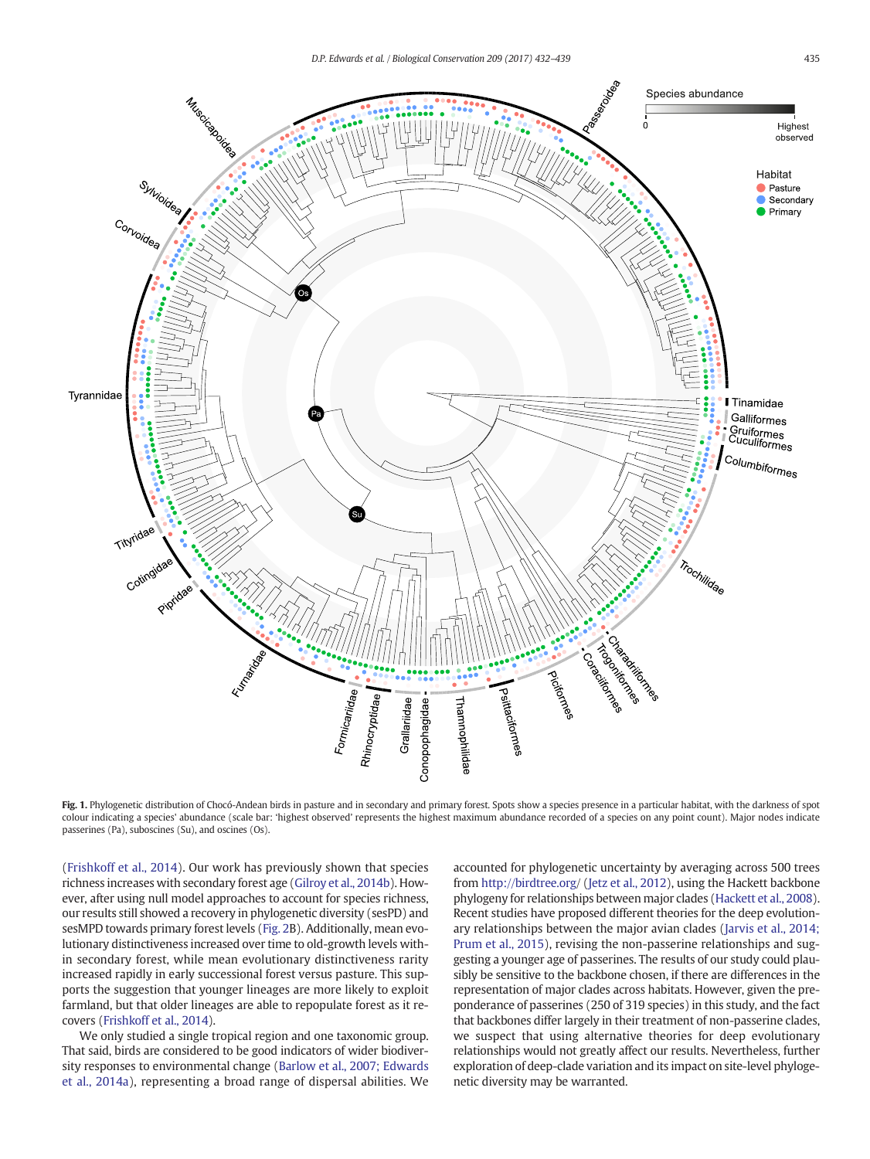<span id="page-3-0"></span>

Fig. 1. Phylogenetic distribution of Chocó-Andean birds in pasture and in secondary and primary forest. Spots show a species presence in a particular habitat, with the darkness of spot colour indicating a species' abundance (scale bar: 'highest observed' represents the highest maximum abundance recorded of a species on any point count). Major nodes indicate passerines (Pa), suboscines (Su), and oscines (Os).

[\(Frishkoff et al., 2014](#page-6-0)). Our work has previously shown that species richness increases with secondary forest age ([Gilroy et al., 2014b\)](#page-6-0). However, after using null model approaches to account for species richness, our results still showed a recovery in phylogenetic diversity (sesPD) and sesMPD towards primary forest levels [\(Fig. 2](#page-4-0)B). Additionally, mean evolutionary distinctiveness increased over time to old-growth levels within secondary forest, while mean evolutionary distinctiveness rarity increased rapidly in early successional forest versus pasture. This supports the suggestion that younger lineages are more likely to exploit farmland, but that older lineages are able to repopulate forest as it recovers ([Frishkoff et al., 2014\)](#page-6-0).

We only studied a single tropical region and one taxonomic group. That said, birds are considered to be good indicators of wider biodiversity responses to environmental change ([Barlow et al., 2007; Edwards](#page-6-0) [et al., 2014a](#page-6-0)), representing a broad range of dispersal abilities. We accounted for phylogenetic uncertainty by averaging across 500 trees from [http://birdtree.org/](http://birdtree.org) [\(Jetz et al., 2012](#page-6-0)), using the Hackett backbone phylogeny for relationships between major clades [\(Hackett et al., 2008](#page-6-0)). Recent studies have proposed different theories for the deep evolutionary relationships between the major avian clades [\(Jarvis et al., 2014;](#page-6-0) [Prum et al., 2015\)](#page-6-0), revising the non-passerine relationships and suggesting a younger age of passerines. The results of our study could plausibly be sensitive to the backbone chosen, if there are differences in the representation of major clades across habitats. However, given the preponderance of passerines (250 of 319 species) in this study, and the fact that backbones differ largely in their treatment of non-passerine clades, we suspect that using alternative theories for deep evolutionary relationships would not greatly affect our results. Nevertheless, further exploration of deep-clade variation and its impact on site-level phylogenetic diversity may be warranted.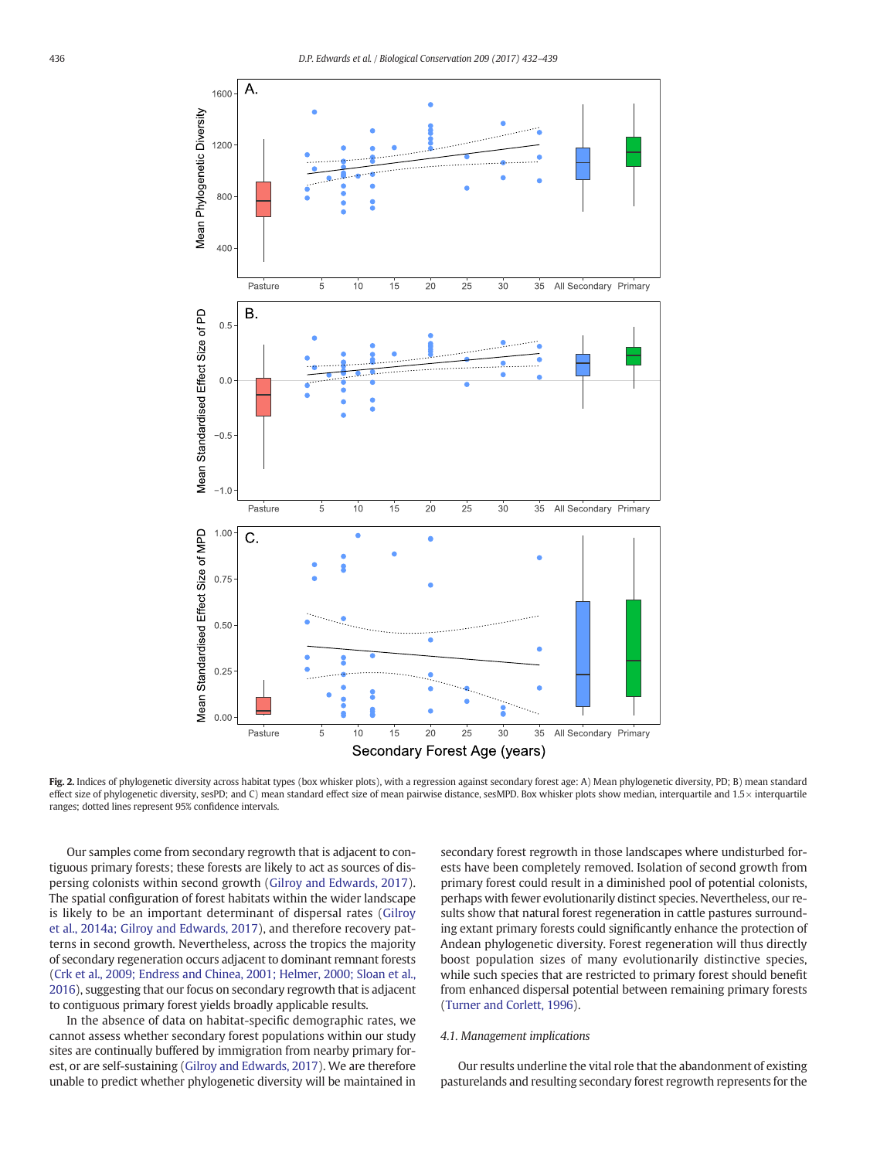<span id="page-4-0"></span>

Fig. 2. Indices of phylogenetic diversity across habitat types (box whisker plots), with a regression against secondary forest age: A) Mean phylogenetic diversity, PD; B) mean standard effect size of phylogenetic diversity, sesPD; and C) mean standard effect size of mean pairwise distance, sesMPD. Box whisker plots show median, interquartile and 1.5× interquartile ranges; dotted lines represent 95% confidence intervals.

Our samples come from secondary regrowth that is adjacent to contiguous primary forests; these forests are likely to act as sources of dispersing colonists within second growth ([Gilroy and Edwards, 2017](#page-6-0)). The spatial configuration of forest habitats within the wider landscape is likely to be an important determinant of dispersal rates [\(Gilroy](#page-6-0) [et al., 2014a; Gilroy and Edwards, 2017\)](#page-6-0), and therefore recovery patterns in second growth. Nevertheless, across the tropics the majority of secondary regeneration occurs adjacent to dominant remnant forests [\(Crk et al., 2009; Endress and Chinea, 2001; Helmer, 2000; Sloan et al.,](#page-6-0) [2016\)](#page-6-0), suggesting that our focus on secondary regrowth that is adjacent to contiguous primary forest yields broadly applicable results.

In the absence of data on habitat-specific demographic rates, we cannot assess whether secondary forest populations within our study sites are continually buffered by immigration from nearby primary forest, or are self-sustaining ([Gilroy and Edwards, 2017\)](#page-6-0). We are therefore unable to predict whether phylogenetic diversity will be maintained in secondary forest regrowth in those landscapes where undisturbed forests have been completely removed. Isolation of second growth from primary forest could result in a diminished pool of potential colonists, perhaps with fewer evolutionarily distinct species. Nevertheless, our results show that natural forest regeneration in cattle pastures surrounding extant primary forests could significantly enhance the protection of Andean phylogenetic diversity. Forest regeneration will thus directly boost population sizes of many evolutionarily distinctive species, while such species that are restricted to primary forest should benefit from enhanced dispersal potential between remaining primary forests [\(Turner and Corlett, 1996](#page-7-0)).

#### 4.1. Management implications

Our results underline the vital role that the abandonment of existing pasturelands and resulting secondary forest regrowth represents for the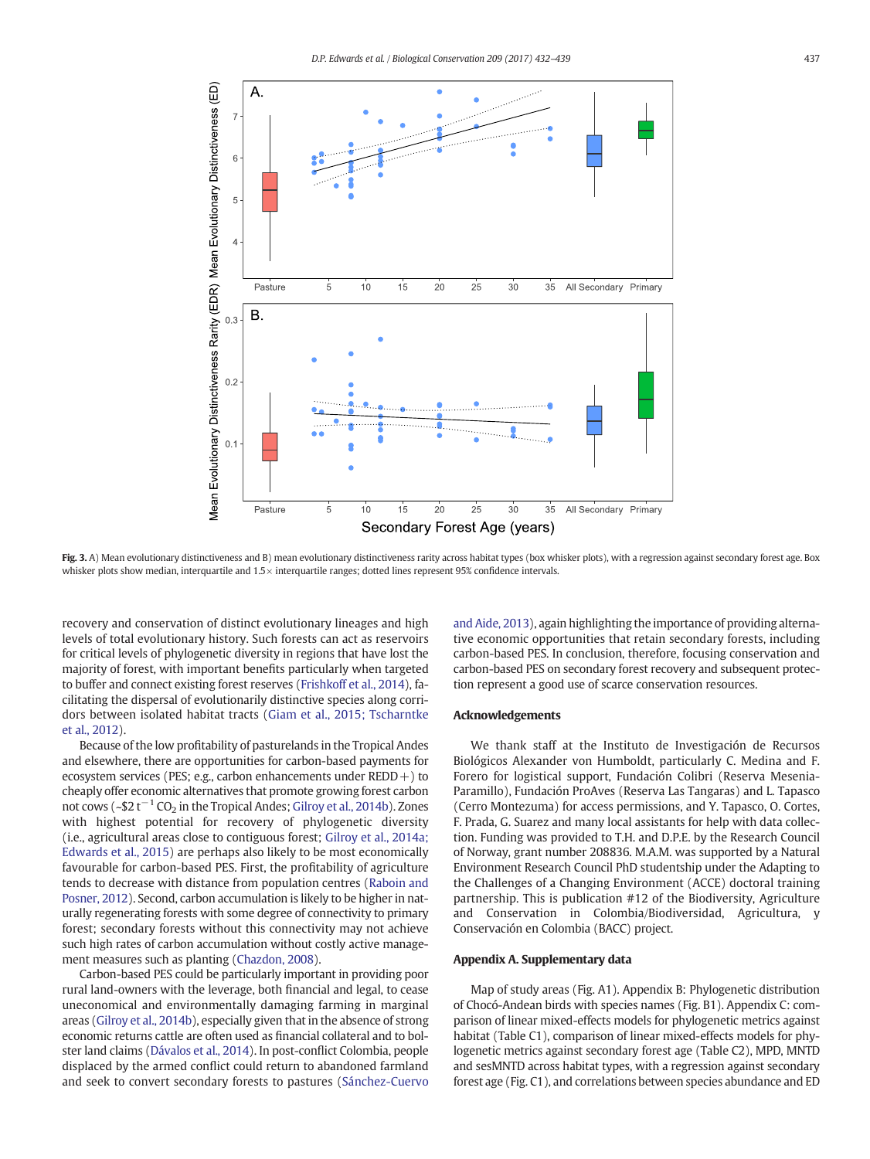<span id="page-5-0"></span>

Fig. 3. A) Mean evolutionary distinctiveness and B) mean evolutionary distinctiveness rarity across habitat types (box whisker plots), with a regression against secondary forest age. Box whisker plots show median, interquartile and  $1.5\times$  interquartile ranges; dotted lines represent 95% confidence intervals.

recovery and conservation of distinct evolutionary lineages and high levels of total evolutionary history. Such forests can act as reservoirs for critical levels of phylogenetic diversity in regions that have lost the majority of forest, with important benefits particularly when targeted to buffer and connect existing forest reserves [\(Frishkoff et al., 2014\)](#page-6-0), facilitating the dispersal of evolutionarily distinctive species along corridors between isolated habitat tracts ([Giam et al., 2015; Tscharntke](#page-6-0) [et al., 2012](#page-6-0)).

Because of the low profitability of pasturelands in the Tropical Andes and elsewhere, there are opportunities for carbon-based payments for ecosystem services (PES; e.g., carbon enhancements under REDD  $+$ ) to cheaply offer economic alternatives that promote growing forest carbon not cows ( $\sim$ \$2 t<sup>-1</sup> CO<sub>2</sub> in the Tropical Andes; [Gilroy et al., 2014b\)](#page-6-0). Zones with highest potential for recovery of phylogenetic diversity (i.e., agricultural areas close to contiguous forest; [Gilroy et al., 2014a;](#page-6-0) [Edwards et al., 2015\)](#page-6-0) are perhaps also likely to be most economically favourable for carbon-based PES. First, the profitability of agriculture tends to decrease with distance from population centres ([Raboin and](#page-6-0) [Posner, 2012\)](#page-6-0). Second, carbon accumulation is likely to be higher in naturally regenerating forests with some degree of connectivity to primary forest; secondary forests without this connectivity may not achieve such high rates of carbon accumulation without costly active management measures such as planting [\(Chazdon, 2008\)](#page-6-0).

Carbon-based PES could be particularly important in providing poor rural land-owners with the leverage, both financial and legal, to cease uneconomical and environmentally damaging farming in marginal areas [\(Gilroy et al., 2014b](#page-6-0)), especially given that in the absence of strong economic returns cattle are often used as financial collateral and to bolster land claims [\(Dávalos et al., 2014](#page-6-0)). In post-conflict Colombia, people displaced by the armed conflict could return to abandoned farmland and seek to convert secondary forests to pastures [\(Sánchez-Cuervo](#page-6-0) [and Aide, 2013](#page-6-0)), again highlighting the importance of providing alternative economic opportunities that retain secondary forests, including carbon-based PES. In conclusion, therefore, focusing conservation and carbon-based PES on secondary forest recovery and subsequent protection represent a good use of scarce conservation resources.

#### Acknowledgements

We thank staff at the Instituto de Investigación de Recursos Biológicos Alexander von Humboldt, particularly C. Medina and F. Forero for logistical support, Fundación Colibri (Reserva Mesenia-Paramillo), Fundación ProAves (Reserva Las Tangaras) and L. Tapasco (Cerro Montezuma) for access permissions, and Y. Tapasco, O. Cortes, F. Prada, G. Suarez and many local assistants for help with data collection. Funding was provided to T.H. and D.P.E. by the Research Council of Norway, grant number 208836. M.A.M. was supported by a Natural Environment Research Council PhD studentship under the Adapting to the Challenges of a Changing Environment (ACCE) doctoral training partnership. This is publication #12 of the Biodiversity, Agriculture and Conservation in Colombia/Biodiversidad, Agricultura, y Conservación en Colombia (BACC) project.

#### Appendix A. Supplementary data

Map of study areas (Fig. A1). Appendix B: Phylogenetic distribution of Chocó-Andean birds with species names (Fig. B1). Appendix C: comparison of linear mixed-effects models for phylogenetic metrics against habitat (Table C1), comparison of linear mixed-effects models for phylogenetic metrics against secondary forest age (Table C2), MPD, MNTD and sesMNTD across habitat types, with a regression against secondary forest age (Fig. C1), and correlations between species abundance and ED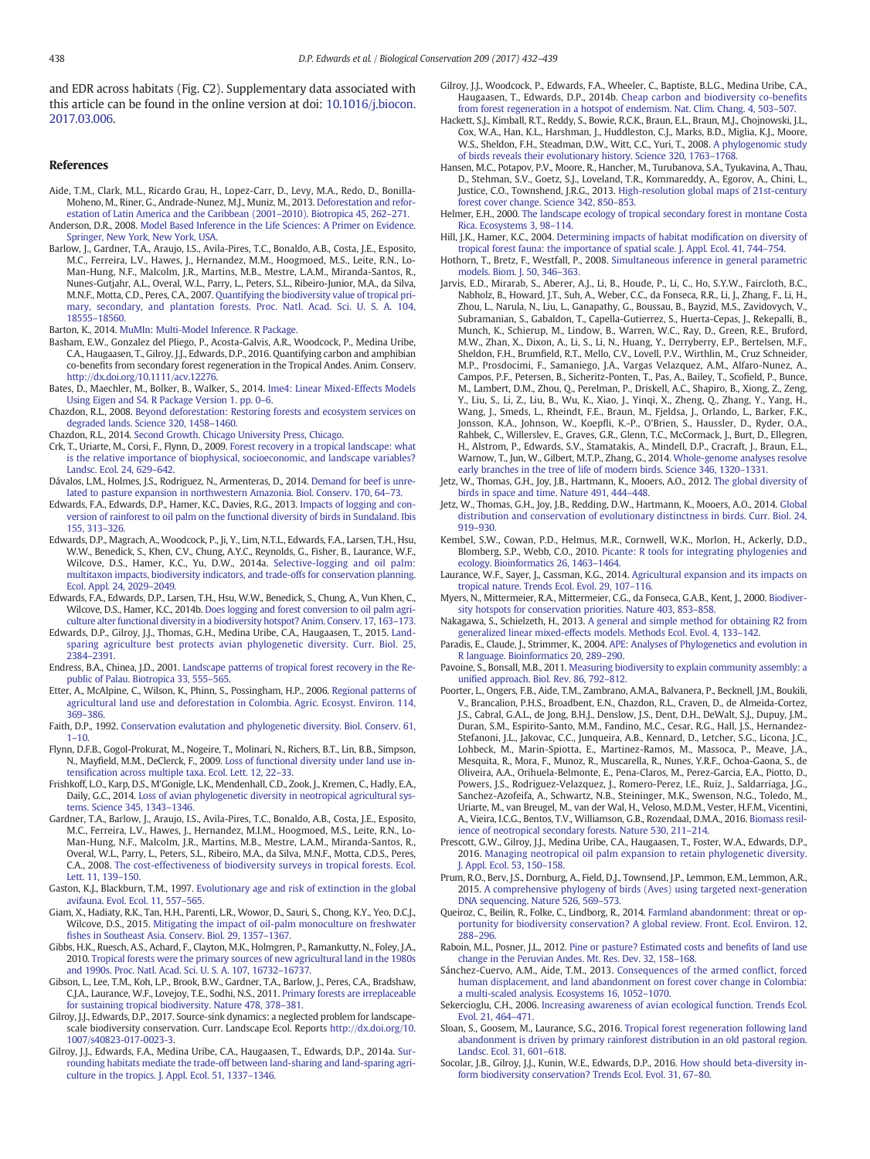<span id="page-6-0"></span>and EDR across habitats (Fig. C2). Supplementary data associated with this article can be found in the online version at doi: [10.1016/j.biocon.](http://dx.doi.org/10.1016/j.biocon.2017.03.006) [2017.03.006](http://dx.doi.org/10.1016/j.biocon.2017.03.006).

#### References

- Aide, T.M., Clark, M.L., Ricardo Grau, H., Lopez-Carr, D., Levy, M.A., Redo, D., Bonilla-Moheno, M., Riner, G., Andrade-Nunez, M.J., Muniz, M., 2013. [Deforestation and refor](http://refhub.elsevier.com/S0006-3207(16)31041-2/rf0005)[estation of Latin America and the Caribbean \(2001](http://refhub.elsevier.com/S0006-3207(16)31041-2/rf0005)–2010). Biotropica 45, 262–271. Anderson, D.R., 2008. [Model Based Inference in the Life Sciences: A Primer on Evidence.](http://refhub.elsevier.com/S0006-3207(16)31041-2/rf0010)
- [Springer, New York, New York, USA.](http://refhub.elsevier.com/S0006-3207(16)31041-2/rf0010) Barlow, J., Gardner, T.A., Araujo, I.S., Avila-Pires, T.C., Bonaldo, A.B., Costa, J.E., Esposito,
- M.C., Ferreira, L.V., Hawes, J., Hernandez, M.M., Hoogmoed, M.S., Leite, R.N., Lo-Man-Hung, N.F., Malcolm, J.R., Martins, M.B., Mestre, L.A.M., Miranda-Santos, R., Nunes-Gutjahr, A.L., Overal, W.L., Parry, L., Peters, S.L., Ribeiro-Junior, M.A., da Silva, M.N.F., Motta, C.D., Peres, C.A., 2007. [Quantifying the biodiversity value of tropical pri](http://refhub.elsevier.com/S0006-3207(16)31041-2/rf0015)[mary, secondary, and plantation forests. Proc. Natl. Acad. Sci. U. S. A. 104,](http://refhub.elsevier.com/S0006-3207(16)31041-2/rf0015) 18555–[18560.](http://refhub.elsevier.com/S0006-3207(16)31041-2/rf0015)
- Barton, K., 2014. [MuMIn: Multi-Model Inference. R Package.](http://refhub.elsevier.com/S0006-3207(16)31041-2/rf0020)
- Basham, E.W., Gonzalez del Pliego, P., Acosta-Galvis, A.R., Woodcock, P., Medina Uribe, C.A., Haugaasen, T., Gilroy, J.J., Edwards, D.P., 2016. Quantifying carbon and amphibian co-benefits from secondary forest regeneration in the Tropical Andes. Anim. Conserv. http://dx.doi.org[/10.1111/acv.12276.](http://dx.doi.org/10.1111/acv.12276)
- Bates, D., Maechler, M., Bolker, B., Walker, S., 2014. [lme4: Linear Mixed-Effects Models](http://refhub.elsevier.com/S0006-3207(16)31041-2/rf0030) [Using Eigen and S4. R Package Version 1. pp. 0](http://refhub.elsevier.com/S0006-3207(16)31041-2/rf0030)–6.
- Chazdon, R.L., 2008. [Beyond deforestation: Restoring forests and ecosystem services on](http://refhub.elsevier.com/S0006-3207(16)31041-2/rf0035) [degraded lands. Science 320, 1458](http://refhub.elsevier.com/S0006-3207(16)31041-2/rf0035)–1460.
- Chazdon, R.L., 2014. [Second Growth. Chicago University Press, Chicago](http://refhub.elsevier.com/S0006-3207(16)31041-2/rf0040).
- Crk, T., Uriarte, M., Corsi, F., Flynn, D., 2009. [Forest recovery in a tropical landscape: what](http://refhub.elsevier.com/S0006-3207(16)31041-2/rf0045) [is the relative importance of biophysical, socioeconomic, and landscape variables?](http://refhub.elsevier.com/S0006-3207(16)31041-2/rf0045) [Landsc. Ecol. 24, 629](http://refhub.elsevier.com/S0006-3207(16)31041-2/rf0045)–642.
- Dávalos, L.M., Holmes, J.S., Rodriguez, N., Armenteras, D., 2014. [Demand for beef is unre](http://refhub.elsevier.com/S0006-3207(16)31041-2/rf0050)[lated to pasture expansion in northwestern Amazonia. Biol. Conserv. 170, 64](http://refhub.elsevier.com/S0006-3207(16)31041-2/rf0050)–73.
- Edwards, F.A., Edwards, D.P., Hamer, K.C., Davies, R.G., 2013. [Impacts of logging and con](http://refhub.elsevier.com/S0006-3207(16)31041-2/rf0055)[version of rainforest to oil palm on the functional diversity of birds in Sundaland. Ibis](http://refhub.elsevier.com/S0006-3207(16)31041-2/rf0055) [155, 313](http://refhub.elsevier.com/S0006-3207(16)31041-2/rf0055)–326.
- Edwards, D.P., Magrach, A., Woodcock, P., Ji, Y., Lim, N.T.L., Edwards, F.A., Larsen, T.H., Hsu, W.W., Benedick, S., Khen, C.V., Chung, A.Y.C., Reynolds, G., Fisher, B., Laurance, W.F., Wilcove, D.S., Hamer, K.C., Yu, D.W., 2014a. [Selective-logging and oil palm:](http://refhub.elsevier.com/S0006-3207(16)31041-2/rf0060) [multitaxon impacts, biodiversity indicators, and trade-offs for conservation planning.](http://refhub.elsevier.com/S0006-3207(16)31041-2/rf0060) [Ecol. Appl. 24, 2029](http://refhub.elsevier.com/S0006-3207(16)31041-2/rf0060)–2049.
- Edwards, F.A., Edwards, D.P., Larsen, T.H., Hsu, W.W., Benedick, S., Chung, A., Vun Khen, C., Wilcove, D.S., Hamer, K.C., 2014b. [Does logging and forest conversion to oil palm agri](http://refhub.elsevier.com/S0006-3207(16)31041-2/rf0065)[culture alter functional diversity in a biodiversity hotspot? Anim. Conserv. 17, 163](http://refhub.elsevier.com/S0006-3207(16)31041-2/rf0065)–173.
- Edwards, D.P., Gilroy, J.J., Thomas, G.H., Medina Uribe, C.A., Haugaasen, T., 2015. [Land](http://refhub.elsevier.com/S0006-3207(16)31041-2/rf0070)[sparing agriculture best protects avian phylogenetic diversity. Curr. Biol. 25,](http://refhub.elsevier.com/S0006-3207(16)31041-2/rf0070) 2384–[2391.](http://refhub.elsevier.com/S0006-3207(16)31041-2/rf0070)
- Endress, B.A., Chinea, J.D., 2001. [Landscape patterns of tropical forest recovery in the Re](http://refhub.elsevier.com/S0006-3207(16)31041-2/rf0075)[public of Palau. Biotropica 33, 555](http://refhub.elsevier.com/S0006-3207(16)31041-2/rf0075)–565.
- Etter, A., McAlpine, C., Wilson, K., Phinn, S., Possingham, H.P., 2006. [Regional patterns of](http://refhub.elsevier.com/S0006-3207(16)31041-2/rf0080) [agricultural land use and deforestation in Colombia. Agric. Ecosyst. Environ. 114,](http://refhub.elsevier.com/S0006-3207(16)31041-2/rf0080) 369–[386.](http://refhub.elsevier.com/S0006-3207(16)31041-2/rf0080)
- Faith, D.P., 1992. [Conservation evalutation and phylogenetic diversity. Biol. Conserv. 61,](http://refhub.elsevier.com/S0006-3207(16)31041-2/rf0085)  $1 - 10$
- Flynn, D.F.B., Gogol-Prokurat, M., Nogeire, T., Molinari, N., Richers, B.T., Lin, B.B., Simpson, N., Mayfield, M.M., DeClerck, F., 2009. [Loss of functional diversity under land use in](http://refhub.elsevier.com/S0006-3207(16)31041-2/rf0090)tensifi[cation across multiple taxa. Ecol. Lett. 12, 22](http://refhub.elsevier.com/S0006-3207(16)31041-2/rf0090)–33.
- Frishkoff, L.O., Karp, D.S., M'Gonigle, L.K., Mendenhall, C.D., Zook, J., Kremen, C., Hadly, E.A., Daily, G.C., 2014. [Loss of avian phylogenetic diversity in neotropical agricultural sys](http://refhub.elsevier.com/S0006-3207(16)31041-2/rf0095)[tems. Science 345, 1343](http://refhub.elsevier.com/S0006-3207(16)31041-2/rf0095)–1346.
- Gardner, T.A., Barlow, J., Araujo, I.S., Avila-Pires, T.C., Bonaldo, A.B., Costa, J.E., Esposito, M.C., Ferreira, L.V., Hawes, J., Hernandez, M.I.M., Hoogmoed, M.S., Leite, R.N., Lo-Man-Hung, N.F., Malcolm, J.R., Martins, M.B., Mestre, L.A.M., Miranda-Santos, R., Overal, W.L., Parry, L., Peters, S.L., Ribeiro, M.A., da Silva, M.N.F., Motta, C.D.S., Peres, C.A., 2008. [The cost-effectiveness of biodiversity surveys in tropical forests. Ecol.](http://refhub.elsevier.com/S0006-3207(16)31041-2/rf0100) [Lett. 11, 139](http://refhub.elsevier.com/S0006-3207(16)31041-2/rf0100)–150.
- Gaston, K.J., Blackburn, T.M., 1997. [Evolutionary age and risk of extinction in the global](http://refhub.elsevier.com/S0006-3207(16)31041-2/rf0105) [avifauna. Evol. Ecol. 11, 557](http://refhub.elsevier.com/S0006-3207(16)31041-2/rf0105)–565.
- Giam, X., Hadiaty, R.K., Tan, H.H., Parenti, L.R., Wowor, D., Sauri, S., Chong, K.Y., Yeo, D.C.J., Wilcove, D.S., 2015. [Mitigating the impact of oil-palm monoculture on freshwater](http://refhub.elsevier.com/S0006-3207(16)31041-2/rf0110) fi[shes in Southeast Asia. Conserv. Biol. 29, 1357](http://refhub.elsevier.com/S0006-3207(16)31041-2/rf0110)–1367.
- Gibbs, H.K., Ruesch, A.S., Achard, F., Clayton, M.K., Holmgren, P., Ramankutty, N., Foley, J.A., 2010. [Tropical forests were the primary sources of new agricultural land in the 1980s](http://refhub.elsevier.com/S0006-3207(16)31041-2/rf0115) [and 1990s. Proc. Natl. Acad. Sci. U. S. A. 107, 16732](http://refhub.elsevier.com/S0006-3207(16)31041-2/rf0115)–16737.
- Gibson, L., Lee, T.M., Koh, L.P., Brook, B.W., Gardner, T.A., Barlow, J., Peres, C.A., Bradshaw, C.J.A., Laurance, W.F., Lovejoy, T.E., Sodhi, N.S., 2011. [Primary forests are irreplaceable](http://refhub.elsevier.com/S0006-3207(16)31041-2/rf0120) [for sustaining tropical biodiversity. Nature 478, 378](http://refhub.elsevier.com/S0006-3207(16)31041-2/rf0120)–381.
- Gilroy, J.J., Edwards, D.P., 2017. Source-sink dynamics: a neglected problem for landscapescale biodiversity conservation. Curr. Landscape Ecol. Reports http://dx.doi.org[/10.](http://dx.doi.org/10.1007/s40823-017-0023-3) [1007/s40823-017-0023-3.](http://dx.doi.org/10.1007/s40823-017-0023-3)
- Gilroy, J.J., Edwards, F.A., Medina Uribe, C.A., Haugaasen, T., Edwards, D.P., 2014a. [Sur](http://refhub.elsevier.com/S0006-3207(16)31041-2/rf0130)[rounding habitats mediate the trade-off between land-sharing and land-sparing agri](http://refhub.elsevier.com/S0006-3207(16)31041-2/rf0130)[culture in the tropics. J. Appl. Ecol. 51, 1337](http://refhub.elsevier.com/S0006-3207(16)31041-2/rf0130)–1346.
- Gilroy, J.J., Woodcock, P., Edwards, F.A., Wheeler, C., Baptiste, B.L.G., Medina Uribe, C.A., Haugaasen, T., Edwards, D.P., 2014b. [Cheap carbon and biodiversity co-bene](http://refhub.elsevier.com/S0006-3207(16)31041-2/rf0135)fits [from forest regeneration in a hotspot of endemism. Nat. Clim. Chang. 4, 503](http://refhub.elsevier.com/S0006-3207(16)31041-2/rf0135)–507.
- Hackett, S.J., Kimball, R.T., Reddy, S., Bowie, R.C.K., Braun, E.L., Braun, M.J., Chojnowski, J.L., Cox, W.A., Han, K.L., Harshman, J., Huddleston, C.J., Marks, B.D., Miglia, K.J., Moore, W.S., Sheldon, F.H., Steadman, D.W., Witt, C.C., Yuri, T., 2008. [A phylogenomic study](http://refhub.elsevier.com/S0006-3207(16)31041-2/rf0140) [of birds reveals their evolutionary history. Science 320, 1763](http://refhub.elsevier.com/S0006-3207(16)31041-2/rf0140)–1768.
- Hansen, M.C., Potapov, P.V., Moore, R., Hancher, M., Turubanova, S.A., Tyukavina, A., Thau, D., Stehman, S.V., Goetz, S.J., Loveland, T.R., Kommareddy, A., Egorov, A., Chini, L., Justice, C.O., Townshend, J.R.G., 2013. [High-resolution global maps of 21st-century](http://refhub.elsevier.com/S0006-3207(16)31041-2/rf0145) [forest cover change. Science 342, 850](http://refhub.elsevier.com/S0006-3207(16)31041-2/rf0145)–853.
- Helmer, E.H., 2000. [The landscape ecology of tropical secondary forest in montane Costa](http://refhub.elsevier.com/S0006-3207(16)31041-2/rf0150) [Rica. Ecosystems 3, 98](http://refhub.elsevier.com/S0006-3207(16)31041-2/rf0150)–114. Hill, J.K., Hamer, K.C., 2004. [Determining impacts of habitat modi](http://refhub.elsevier.com/S0006-3207(16)31041-2/rf0155)fication on diversity of
- [tropical forest fauna: the importance of spatial scale. J. Appl. Ecol. 41, 744](http://refhub.elsevier.com/S0006-3207(16)31041-2/rf0155)–754.
- Hothorn, T., Bretz, F., Westfall, P., 2008. [Simultaneous inference in general parametric](http://refhub.elsevier.com/S0006-3207(16)31041-2/rf0160) [models. Biom. J. 50, 346](http://refhub.elsevier.com/S0006-3207(16)31041-2/rf0160)–363.
- Jarvis, E.D., Mirarab, S., Aberer, A.J., Li, B., Houde, P., Li, C., Ho, S.Y.W., Faircloth, B.C., Nabholz, B., Howard, J.T., Suh, A., Weber, C.C., da Fonseca, R.R., Li, J., Zhang, F., Li, H., Zhou, L., Narula, N., Liu, L., Ganapathy, G., Boussau, B., Bayzid, M.S., Zavidovych, V., Subramanian, S., Gabaldon, T., Capella-Gutierrez, S., Huerta-Cepas, J., Rekepalli, B., Munch, K., Schierup, M., Lindow, B., Warren, W.C., Ray, D., Green, R.E., Bruford, M.W., Zhan, X., Dixon, A., Li, S., Li, N., Huang, Y., Derryberry, E.P., Bertelsen, M.F., Sheldon, F.H., Brumfield, R.T., Mello, C.V., Lovell, P.V., Wirthlin, M., Cruz Schneider, M.P., Prosdocimi, F., Samaniego, J.A., Vargas Velazquez, A.M., Alfaro-Nunez, A., Campos, P.F., Petersen, B., Sicheritz-Ponten, T., Pas, A., Bailey, T., Scofield, P., Bunce, M., Lambert, D.M., Zhou, Q., Perelman, P., Driskell, A.C., Shapiro, B., Xiong, Z., Zeng, Y., Liu, S., Li, Z., Liu, B., Wu, K., Xiao, J., Yinqi, X., Zheng, Q., Zhang, Y., Yang, H., Wang, J., Smeds, L., Rheindt, F.E., Braun, M., Fjeldsa, J., Orlando, L., Barker, F.K., Jonsson, K.A., Johnson, W., Koepfli, K.-P., O'Brien, S., Haussler, D., Ryder, O.A., Rahbek, C., Willerslev, E., Graves, G.R., Glenn, T.C., McCormack, J., Burt, D., Ellegren, H., Alstrom, P., Edwards, S.V., Stamatakis, A., Mindell, D.P., Cracraft, J., Braun, E.L., Warnow, T., Jun, W., Gilbert, M.T.P., Zhang, G., 2014. [Whole-genome analyses resolve](http://refhub.elsevier.com/S0006-3207(16)31041-2/rf0165) [early branches in the tree of life of modern birds. Science 346, 1320](http://refhub.elsevier.com/S0006-3207(16)31041-2/rf0165)–1331.
- Jetz, W., Thomas, G.H., Joy, J.B., Hartmann, K., Mooers, A.O., 2012. [The global diversity of](http://refhub.elsevier.com/S0006-3207(16)31041-2/rf0170) [birds in space and time. Nature 491, 444](http://refhub.elsevier.com/S0006-3207(16)31041-2/rf0170)–448.
- Jetz, W., Thomas, G.H., Joy, J.B., Redding, D.W., Hartmann, K., Mooers, A.O., 2014. [Global](http://refhub.elsevier.com/S0006-3207(16)31041-2/rf0175) [distribution and conservation of evolutionary distinctness in birds. Curr. Biol. 24,](http://refhub.elsevier.com/S0006-3207(16)31041-2/rf0175) 919–[930.](http://refhub.elsevier.com/S0006-3207(16)31041-2/rf0175)
- Kembel, S.W., Cowan, P.D., Helmus, M.R., Cornwell, W.K., Morlon, H., Ackerly, D.D., Blomberg, S.P., Webb, C.O., 2010. [Picante: R tools for integrating phylogenies and](http://refhub.elsevier.com/S0006-3207(16)31041-2/rf0180) [ecology. Bioinformatics 26, 1463](http://refhub.elsevier.com/S0006-3207(16)31041-2/rf0180)–1464.
- Laurance, W.F., Sayer, J., Cassman, K.G., 2014. [Agricultural expansion and its impacts on](http://refhub.elsevier.com/S0006-3207(16)31041-2/rf0185) [tropical nature. Trends Ecol. Evol. 29, 107](http://refhub.elsevier.com/S0006-3207(16)31041-2/rf0185)–116.
- Myers, N., Mittermeier, R.A., Mittermeier, C.G., da Fonseca, G.A.B., Kent, J., 2000. [Biodiver](http://refhub.elsevier.com/S0006-3207(16)31041-2/rf0190)[sity hotspots for conservation priorities. Nature 403, 853](http://refhub.elsevier.com/S0006-3207(16)31041-2/rf0190)–858.
- Nakagawa, S., Schielzeth, H., 2013. [A general and simple method for obtaining R2 from](http://refhub.elsevier.com/S0006-3207(16)31041-2/rf0195) [generalized linear mixed-effects models. Methods Ecol. Evol. 4, 133](http://refhub.elsevier.com/S0006-3207(16)31041-2/rf0195)–142.
- Paradis, E., Claude, J., Strimmer, K., 2004. [APE: Analyses of Phylogenetics and evolution in](http://refhub.elsevier.com/S0006-3207(16)31041-2/rf0200) [R language. Bioinformatics 20, 289](http://refhub.elsevier.com/S0006-3207(16)31041-2/rf0200)–290.
- Pavoine, S., Bonsall, M.B., 2011. [Measuring biodiversity to explain community assembly: a](http://refhub.elsevier.com/S0006-3207(16)31041-2/rf0205) unifi[ed approach. Biol. Rev. 86, 792](http://refhub.elsevier.com/S0006-3207(16)31041-2/rf0205)–812.
- Poorter, L., Ongers, F.B., Aide, T.M., Zambrano, A.M.A., Balvanera, P., Becknell, J.M., Boukili, V., Brancalion, P.H.S., Broadbent, E.N., Chazdon, R.L., Craven, D., de Almeida-Cortez, J.S., Cabral, G.A.L., de Jong, B.H.J., Denslow, J.S., Dent, D.H., DeWalt, S.J., Dupuy, J.M., Duran, S.M., Espirito-Santo, M.M., Fandino, M.C., Cesar, R.G., Hall, J.S., Hernandez-Stefanoni, J.L., Jakovac, C.C., Junqueira, A.B., Kennard, D., Letcher, S.G., Licona, J.C., Lohbeck, M., Marin-Spiotta, E., Martinez-Ramos, M., Massoca, P., Meave, J.A., Mesquita, R., Mora, F., Munoz, R., Muscarella, R., Nunes, Y.R.F., Ochoa-Gaona, S., de Oliveira, A.A., Orihuela-Belmonte, E., Pena-Claros, M., Perez-Garcia, E.A., Piotto, D., Powers, J.S., Rodriguez-Velazquez, J., Romero-Perez, I.E., Ruiz, J., Saldarriaga, J.G., Sanchez-Azofeifa, A., Schwartz, N.B., Steininger, M.K., Swenson, N.G., Toledo, M., Uriarte, M., van Breugel, M., van der Wal, H., Veloso, M.D.M., Vester, H.F.M., Vicentini, A., Vieira, I.C.G., Bentos, T.V., Williamson, G.B., Rozendaal, D.M.A., 2016. [Biomass resil](http://refhub.elsevier.com/S0006-3207(16)31041-2/rf0210)[ience of neotropical secondary forests. Nature 530, 211](http://refhub.elsevier.com/S0006-3207(16)31041-2/rf0210)–214.
- Prescott, G.W., Gilroy, J.J., Medina Uribe, C.A., Haugaasen, T., Foster, W.A., Edwards, D.P., 2016. [Managing neotropical oil palm expansion to retain phylogenetic diversity.](http://refhub.elsevier.com/S0006-3207(16)31041-2/rf0215) [J. Appl. Ecol. 53, 150](http://refhub.elsevier.com/S0006-3207(16)31041-2/rf0215)–158.
- Prum, R.O., Berv, J.S., Dornburg, A., Field, D.J., Townsend, J.P., Lemmon, E.M., Lemmon, A.R., 2015. [A comprehensive phylogeny of birds \(Aves\) using targeted next-generation](http://refhub.elsevier.com/S0006-3207(16)31041-2/rf0220) [DNA sequencing. Nature 526, 569](http://refhub.elsevier.com/S0006-3207(16)31041-2/rf0220)–573.
- Queiroz, C., Beilin, R., Folke, C., Lindborg, R., 2014. [Farmland abandonment: threat or op](http://refhub.elsevier.com/S0006-3207(16)31041-2/rf0225)[portunity for biodiversity conservation? A global review. Front. Ecol. Environ. 12,](http://refhub.elsevier.com/S0006-3207(16)31041-2/rf0225) 288–[296.](http://refhub.elsevier.com/S0006-3207(16)31041-2/rf0225)
- Raboin, M.L., Posner, J.L., 2012. [Pine or pasture? Estimated costs and bene](http://refhub.elsevier.com/S0006-3207(16)31041-2/rf0230)fits of land use [change in the Peruvian Andes. Mt. Res. Dev. 32, 158](http://refhub.elsevier.com/S0006-3207(16)31041-2/rf0230)–168.
- Sánchez-Cuervo, A.M., Aide, T.M., 2013. [Consequences of the armed con](http://refhub.elsevier.com/S0006-3207(16)31041-2/rf0235)flict, forced [human displacement, and land abandonment on forest cover change in Colombia:](http://refhub.elsevier.com/S0006-3207(16)31041-2/rf0235) [a multi-scaled analysis. Ecosystems 16, 1052](http://refhub.elsevier.com/S0006-3207(16)31041-2/rf0235)–1070.
- Sekercioglu, C.H., 2006. [Increasing awareness of avian ecological function. Trends Ecol.](http://refhub.elsevier.com/S0006-3207(16)31041-2/rf0240) [Evol. 21, 464](http://refhub.elsevier.com/S0006-3207(16)31041-2/rf0240)–471.
- Sloan, S., Goosem, M., Laurance, S.G., 2016. [Tropical forest regeneration following land](http://refhub.elsevier.com/S0006-3207(16)31041-2/rf0245) [abandonment is driven by primary rainforest distribution in an old pastoral region.](http://refhub.elsevier.com/S0006-3207(16)31041-2/rf0245) [Landsc. Ecol. 31, 601](http://refhub.elsevier.com/S0006-3207(16)31041-2/rf0245)–618.
- Socolar, J.B., Gilroy, J.J., Kunin, W.E., Edwards, D.P., 2016. [How should beta-diversity in](http://refhub.elsevier.com/S0006-3207(16)31041-2/rf0250)[form biodiversity conservation? Trends Ecol. Evol. 31, 67](http://refhub.elsevier.com/S0006-3207(16)31041-2/rf0250)–80.